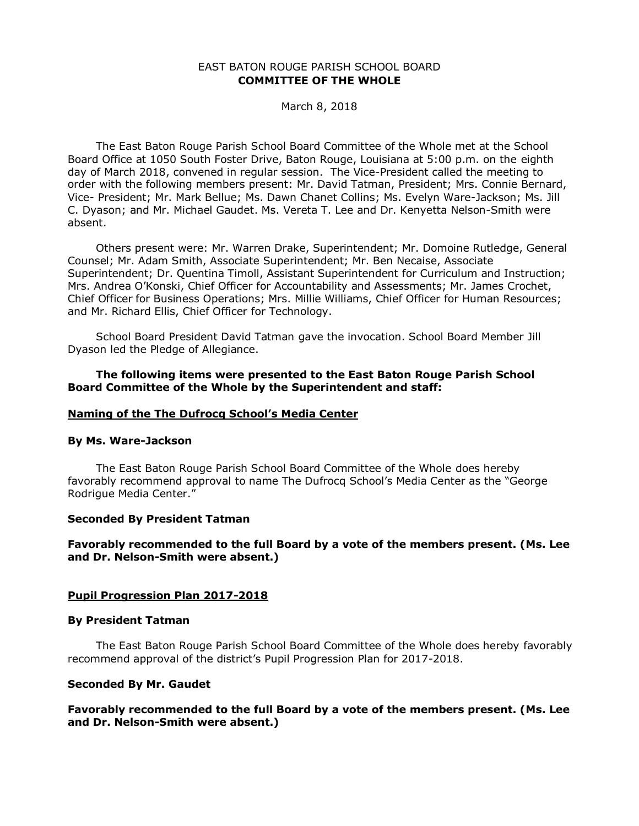## EAST BATON ROUGE PARISH SCHOOL BOARD **COMMITTEE OF THE WHOLE**

March 8, 2018

The East Baton Rouge Parish School Board Committee of the Whole met at the School Board Office at 1050 South Foster Drive, Baton Rouge, Louisiana at 5:00 p.m. on the eighth day of March 2018, convened in regular session. The Vice-President called the meeting to order with the following members present: Mr. David Tatman, President; Mrs. Connie Bernard, Vice- President; Mr. Mark Bellue; Ms. Dawn Chanet Collins; Ms. Evelyn Ware-Jackson; Ms. Jill C. Dyason; and Mr. Michael Gaudet. Ms. Vereta T. Lee and Dr. Kenyetta Nelson-Smith were absent.

Others present were: Mr. Warren Drake, Superintendent; Mr. Domoine Rutledge, General Counsel; Mr. Adam Smith, Associate Superintendent; Mr. Ben Necaise, Associate Superintendent; Dr. Quentina Timoll, Assistant Superintendent for Curriculum and Instruction; Mrs. Andrea O'Konski, Chief Officer for Accountability and Assessments; Mr. James Crochet, Chief Officer for Business Operations; Mrs. Millie Williams, Chief Officer for Human Resources; and Mr. Richard Ellis, Chief Officer for Technology.

School Board President David Tatman gave the invocation. School Board Member Jill Dyason led the Pledge of Allegiance.

### **The following items were presented to the East Baton Rouge Parish School Board Committee of the Whole by the Superintendent and staff:**

### **Naming of the The Dufrocq School's Media Center**

### **By Ms. Ware-Jackson**

The East Baton Rouge Parish School Board Committee of the Whole does hereby favorably recommend approval to name The Dufrocq School's Media Center as the "George Rodrigue Media Center."

#### **Seconded By President Tatman**

## **Favorably recommended to the full Board by a vote of the members present. (Ms. Lee and Dr. Nelson-Smith were absent.)**

#### **Pupil Progression Plan 2017-2018**

#### **By President Tatman**

The East Baton Rouge Parish School Board Committee of the Whole does hereby favorably recommend approval of the district's Pupil Progression Plan for 2017-2018.

#### **Seconded By Mr. Gaudet**

## **Favorably recommended to the full Board by a vote of the members present. (Ms. Lee and Dr. Nelson-Smith were absent.)**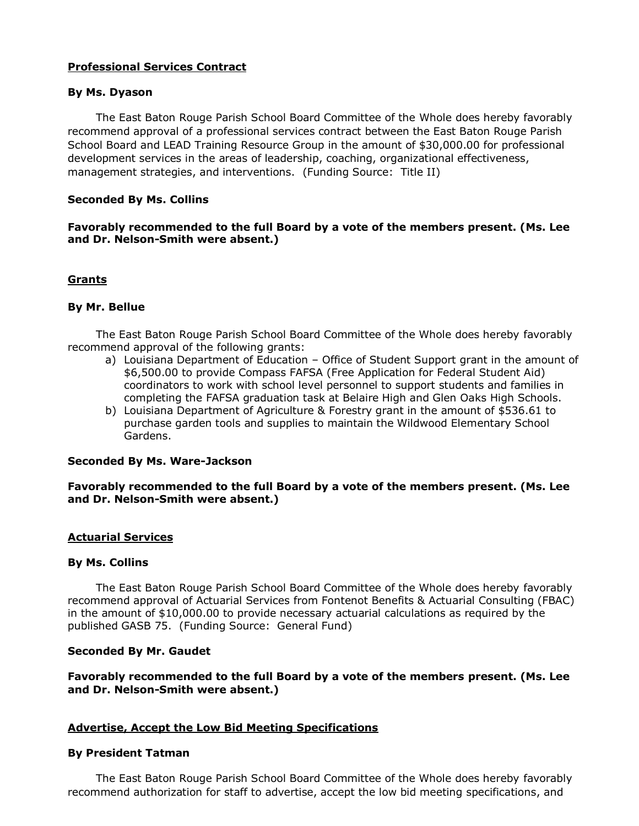# **Professional Services Contract**

## **By Ms. Dyason**

The East Baton Rouge Parish School Board Committee of the Whole does hereby favorably recommend approval of a professional services contract between the East Baton Rouge Parish School Board and LEAD Training Resource Group in the amount of \$30,000.00 for professional development services in the areas of leadership, coaching, organizational effectiveness, management strategies, and interventions. (Funding Source: Title II)

## **Seconded By Ms. Collins**

# **Favorably recommended to the full Board by a vote of the members present. (Ms. Lee and Dr. Nelson-Smith were absent.)**

# **Grants**

# **By Mr. Bellue**

The East Baton Rouge Parish School Board Committee of the Whole does hereby favorably recommend approval of the following grants:

- a) Louisiana Department of Education Office of Student Support grant in the amount of \$6,500.00 to provide Compass FAFSA (Free Application for Federal Student Aid) coordinators to work with school level personnel to support students and families in completing the FAFSA graduation task at Belaire High and Glen Oaks High Schools.
- b) Louisiana Department of Agriculture & Forestry grant in the amount of \$536.61 to purchase garden tools and supplies to maintain the Wildwood Elementary School Gardens.

## **Seconded By Ms. Ware-Jackson**

**Favorably recommended to the full Board by a vote of the members present. (Ms. Lee and Dr. Nelson-Smith were absent.)**

## **Actuarial Services**

## **By Ms. Collins**

The East Baton Rouge Parish School Board Committee of the Whole does hereby favorably recommend approval of Actuarial Services from Fontenot Benefits & Actuarial Consulting (FBAC) in the amount of \$10,000.00 to provide necessary actuarial calculations as required by the published GASB 75. (Funding Source: General Fund)

## **Seconded By Mr. Gaudet**

**Favorably recommended to the full Board by a vote of the members present. (Ms. Lee and Dr. Nelson-Smith were absent.)**

## **Advertise, Accept the Low Bid Meeting Specifications**

#### **By President Tatman**

The East Baton Rouge Parish School Board Committee of the Whole does hereby favorably recommend authorization for staff to advertise, accept the low bid meeting specifications, and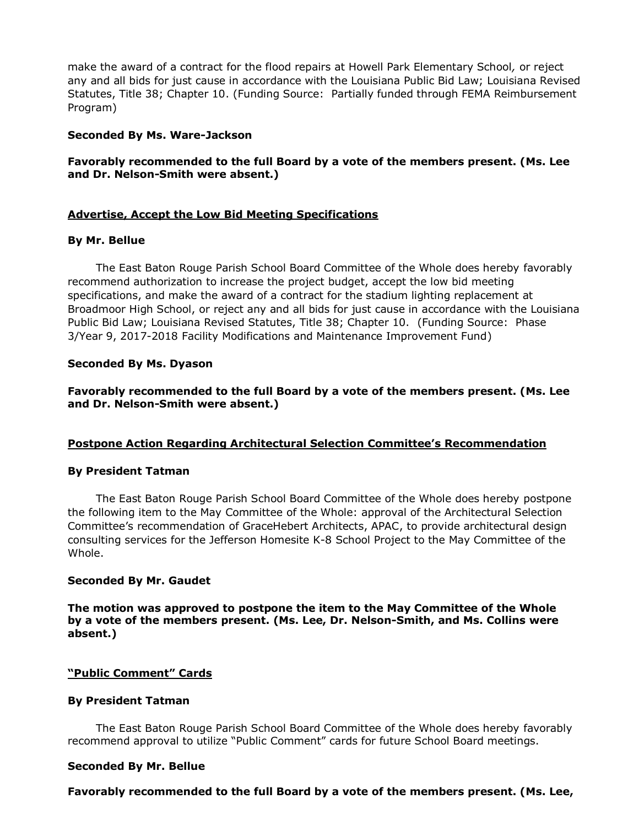make the award of a contract for the flood repairs at Howell Park Elementary School*,* or reject any and all bids for just cause in accordance with the Louisiana Public Bid Law; Louisiana Revised Statutes, Title 38; Chapter 10. (Funding Source: Partially funded through FEMA Reimbursement Program)

### **Seconded By Ms. Ware-Jackson**

# **Favorably recommended to the full Board by a vote of the members present. (Ms. Lee and Dr. Nelson-Smith were absent.)**

## **Advertise, Accept the Low Bid Meeting Specifications**

### **By Mr. Bellue**

The East Baton Rouge Parish School Board Committee of the Whole does hereby favorably recommend authorization to increase the project budget, accept the low bid meeting specifications, and make the award of a contract for the stadium lighting replacement at Broadmoor High School, or reject any and all bids for just cause in accordance with the Louisiana Public Bid Law; Louisiana Revised Statutes, Title 38; Chapter 10. (Funding Source: Phase 3/Year 9, 2017-2018 Facility Modifications and Maintenance Improvement Fund)

## **Seconded By Ms. Dyason**

**Favorably recommended to the full Board by a vote of the members present. (Ms. Lee and Dr. Nelson-Smith were absent.)**

## **Postpone Action Regarding Architectural Selection Committee's Recommendation**

#### **By President Tatman**

The East Baton Rouge Parish School Board Committee of the Whole does hereby postpone the following item to the May Committee of the Whole: approval of the Architectural Selection Committee's recommendation of GraceHebert Architects, APAC, to provide architectural design consulting services for the Jefferson Homesite K-8 School Project to the May Committee of the Whole.

#### **Seconded By Mr. Gaudet**

**The motion was approved to postpone the item to the May Committee of the Whole by a vote of the members present. (Ms. Lee, Dr. Nelson-Smith, and Ms. Collins were absent.)**

## **"Public Comment" Cards**

#### **By President Tatman**

The East Baton Rouge Parish School Board Committee of the Whole does hereby favorably recommend approval to utilize "Public Comment" cards for future School Board meetings.

#### **Seconded By Mr. Bellue**

**Favorably recommended to the full Board by a vote of the members present. (Ms. Lee,**